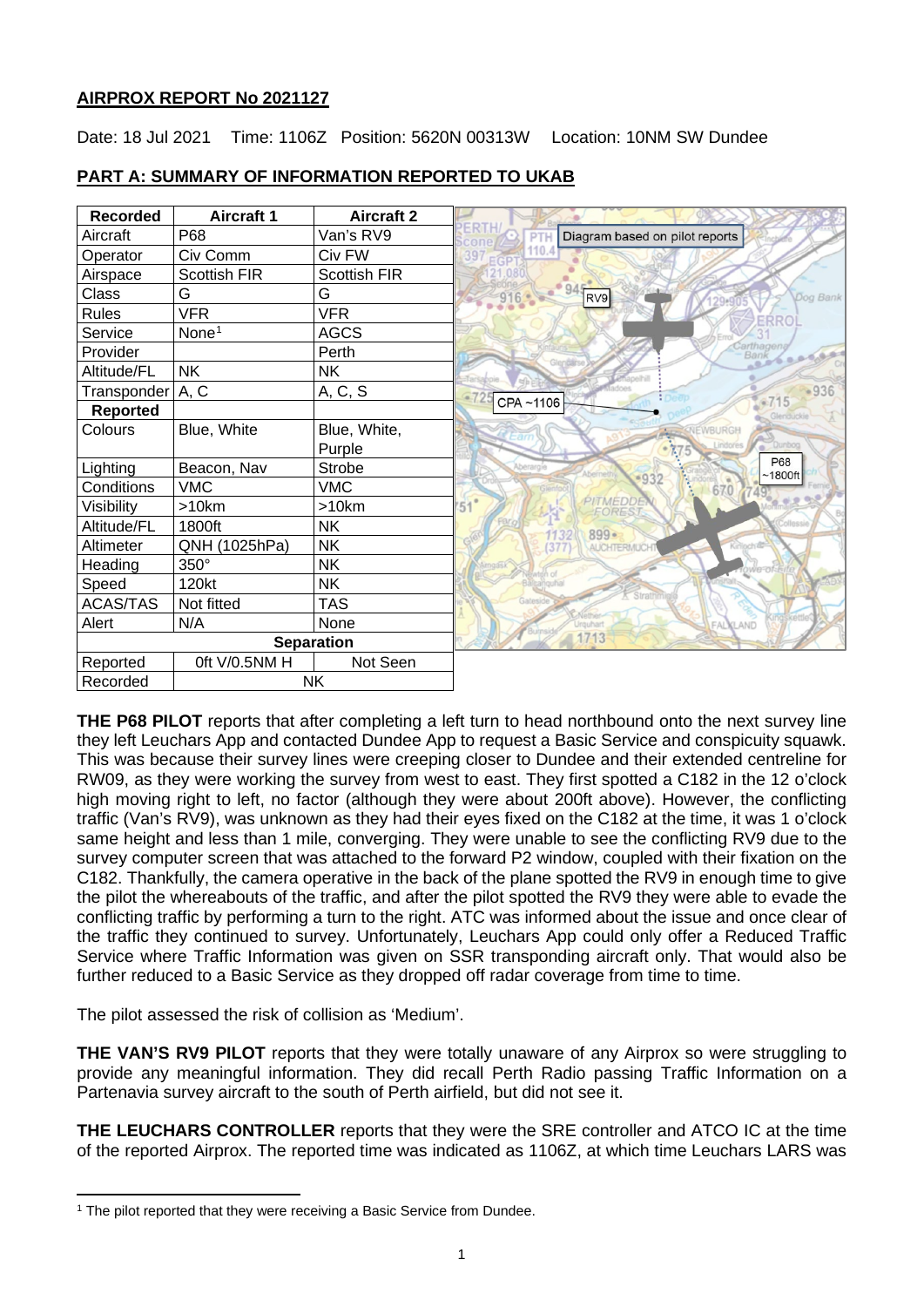# **AIRPROX REPORT No 2021127**

Date: 18 Jul 2021 Time: 1106Z Position: 5620N 00313W Location: 10NM SW Dundee

| <b>Recorded</b>    | <b>Aircraft 1</b>   | <b>Aircraft 2</b>   |                                                    |
|--------------------|---------------------|---------------------|----------------------------------------------------|
| Aircraft           | P68                 | Van's RV9           | Diagram based on pilot reports<br>P <sub>1</sub>   |
| Operator           | Civ Comm            | Civ FW              | 397                                                |
| Airspace           | <b>Scottish FIR</b> | <b>Scottish FIR</b> |                                                    |
| Class              | G                   | G                   | 945<br>RV9<br>Dog Bank                             |
| <b>Rules</b>       | <b>VFR</b>          | <b>VFR</b>          | ERRO                                               |
| Service            | None <sup>1</sup>   | <b>AGCS</b>         |                                                    |
| Provider           |                     | Perth               |                                                    |
| Altitude/FL        | <b>NK</b>           | <b>NK</b>           |                                                    |
| Transponder   A, C |                     | A, C, S             | $-936$<br>$-715$                                   |
| <b>Reported</b>    |                     |                     | CPA~1106                                           |
| Colours            | Blue, White         | Blue, White,        | <b>IFWRURGE</b>                                    |
|                    |                     | Purple              | Dunboo                                             |
| Lighting           | Beacon, Nav         | <b>Strobe</b>       | <b>P68</b><br>Aberargie<br>$~1800$ ft              |
| Conditions         | <b>VMC</b>          | <b>VMC</b>          | $-932$<br>670                                      |
| Visibility         | >10km               | $>10$ km            | PITMEDDE<br>$51^\circ$<br><b>FORES</b>             |
| Altitude/FL        | 1800ft              | <b>NK</b>           | $899 -$                                            |
| Altimeter          | QNH (1025hPa)       | <b>NK</b>           | <b>Kiriloch</b> <sup>25</sup><br><b>AUCHTERMUC</b> |
| Heading            | 350°                | <b>NK</b>           | owe-of-E                                           |
| Speed              | 120kt               | <b>NK</b>           |                                                    |
| ACAS/TAS           | Not fitted          | <b>TAS</b>          |                                                    |
| Alert              | N/A                 | None                | <b>FALKLAND</b>                                    |
| <b>Separation</b>  |                     |                     | 1713                                               |
| Reported           | 0ft V/0.5NM H       | Not Seen            |                                                    |
| Recorded           | <b>NK</b>           |                     |                                                    |

# **PART A: SUMMARY OF INFORMATION REPORTED TO UKAB**

**THE P68 PILOT** reports that after completing a left turn to head northbound onto the next survey line they left Leuchars App and contacted Dundee App to request a Basic Service and conspicuity squawk. This was because their survey lines were creeping closer to Dundee and their extended centreline for RW09, as they were working the survey from west to east. They first spotted a C182 in the 12 o'clock high moving right to left, no factor (although they were about 200ft above). However, the conflicting traffic (Van's RV9), was unknown as they had their eyes fixed on the C182 at the time, it was 1 o'clock same height and less than 1 mile, converging. They were unable to see the conflicting RV9 due to the survey computer screen that was attached to the forward P2 window, coupled with their fixation on the C182. Thankfully, the camera operative in the back of the plane spotted the RV9 in enough time to give the pilot the whereabouts of the traffic, and after the pilot spotted the RV9 they were able to evade the conflicting traffic by performing a turn to the right. ATC was informed about the issue and once clear of the traffic they continued to survey. Unfortunately, Leuchars App could only offer a Reduced Traffic Service where Traffic Information was given on SSR transponding aircraft only. That would also be further reduced to a Basic Service as they dropped off radar coverage from time to time.

The pilot assessed the risk of collision as 'Medium'.

**THE VAN'S RV9 PILOT** reports that they were totally unaware of any Airprox so were struggling to provide any meaningful information. They did recall Perth Radio passing Traffic Information on a Partenavia survey aircraft to the south of Perth airfield, but did not see it.

**THE LEUCHARS CONTROLLER** reports that they were the SRE controller and ATCO IC at the time of the reported Airprox. The reported time was indicated as 1106Z, at which time Leuchars LARS was

<span id="page-0-0"></span><sup>&</sup>lt;sup>1</sup> The pilot reported that they were receiving a Basic Service from Dundee.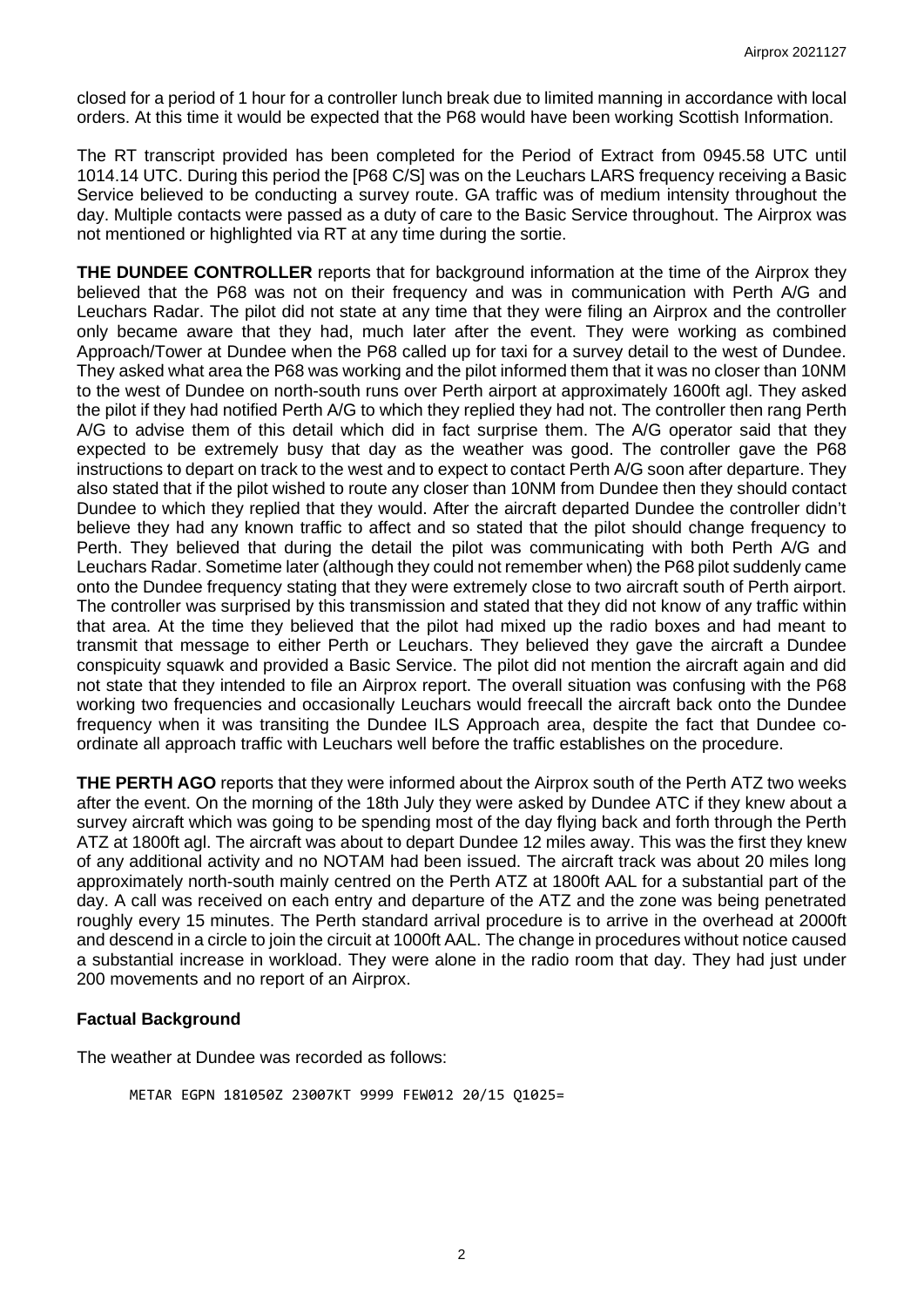closed for a period of 1 hour for a controller lunch break due to limited manning in accordance with local orders. At this time it would be expected that the P68 would have been working Scottish Information.

The RT transcript provided has been completed for the Period of Extract from 0945.58 UTC until 1014.14 UTC. During this period the [P68 C/S] was on the Leuchars LARS frequency receiving a Basic Service believed to be conducting a survey route. GA traffic was of medium intensity throughout the day. Multiple contacts were passed as a duty of care to the Basic Service throughout. The Airprox was not mentioned or highlighted via RT at any time during the sortie.

**THE DUNDEE CONTROLLER** reports that for background information at the time of the Airprox they believed that the P68 was not on their frequency and was in communication with Perth A/G and Leuchars Radar. The pilot did not state at any time that they were filing an Airprox and the controller only became aware that they had, much later after the event. They were working as combined Approach/Tower at Dundee when the P68 called up for taxi for a survey detail to the west of Dundee. They asked what area the P68 was working and the pilot informed them that it was no closer than 10NM to the west of Dundee on north-south runs over Perth airport at approximately 1600ft agl. They asked the pilot if they had notified Perth A/G to which they replied they had not. The controller then rang Perth A/G to advise them of this detail which did in fact surprise them. The A/G operator said that they expected to be extremely busy that day as the weather was good. The controller gave the P68 instructions to depart on track to the west and to expect to contact Perth A/G soon after departure. They also stated that if the pilot wished to route any closer than 10NM from Dundee then they should contact Dundee to which they replied that they would. After the aircraft departed Dundee the controller didn't believe they had any known traffic to affect and so stated that the pilot should change frequency to Perth. They believed that during the detail the pilot was communicating with both Perth A/G and Leuchars Radar. Sometime later (although they could not remember when) the P68 pilot suddenly came onto the Dundee frequency stating that they were extremely close to two aircraft south of Perth airport. The controller was surprised by this transmission and stated that they did not know of any traffic within that area. At the time they believed that the pilot had mixed up the radio boxes and had meant to transmit that message to either Perth or Leuchars. They believed they gave the aircraft a Dundee conspicuity squawk and provided a Basic Service. The pilot did not mention the aircraft again and did not state that they intended to file an Airprox report. The overall situation was confusing with the P68 working two frequencies and occasionally Leuchars would freecall the aircraft back onto the Dundee frequency when it was transiting the Dundee ILS Approach area, despite the fact that Dundee coordinate all approach traffic with Leuchars well before the traffic establishes on the procedure.

**THE PERTH AGO** reports that they were informed about the Airprox south of the Perth ATZ two weeks after the event. On the morning of the 18th July they were asked by Dundee ATC if they knew about a survey aircraft which was going to be spending most of the day flying back and forth through the Perth ATZ at 1800ft agl. The aircraft was about to depart Dundee 12 miles away. This was the first they knew of any additional activity and no NOTAM had been issued. The aircraft track was about 20 miles long approximately north-south mainly centred on the Perth ATZ at 1800ft AAL for a substantial part of the day. A call was received on each entry and departure of the ATZ and the zone was being penetrated roughly every 15 minutes. The Perth standard arrival procedure is to arrive in the overhead at 2000ft and descend in a circle to join the circuit at 1000ft AAL. The change in procedures without notice caused a substantial increase in workload. They were alone in the radio room that day. They had just under 200 movements and no report of an Airprox.

#### **Factual Background**

The weather at Dundee was recorded as follows:

METAR EGPN 181050Z 23007KT 9999 FEW012 20/15 Q1025=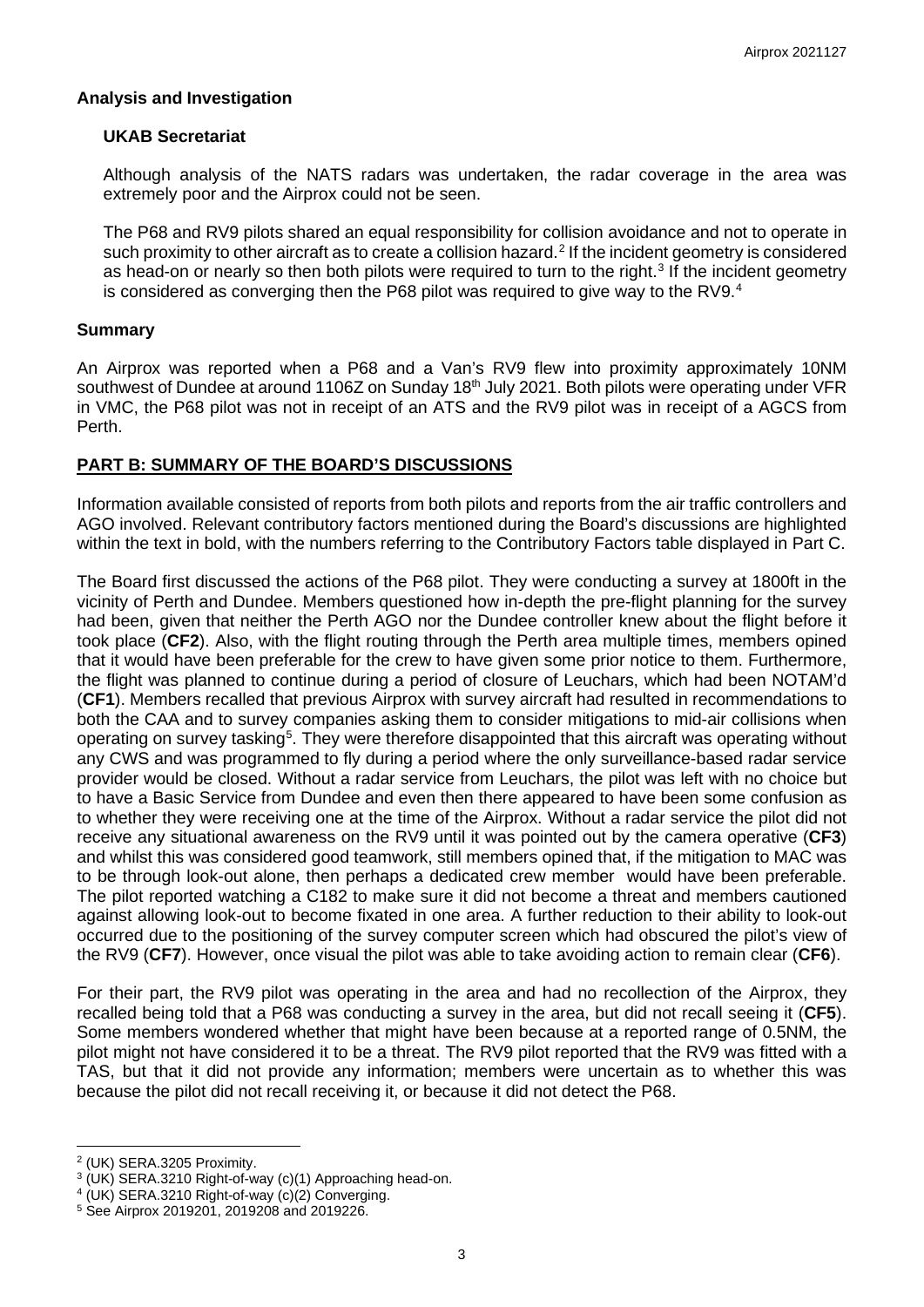### **Analysis and Investigation**

### **UKAB Secretariat**

Although analysis of the NATS radars was undertaken, the radar coverage in the area was extremely poor and the Airprox could not be seen.

The P68 and RV9 pilots shared an equal responsibility for collision avoidance and not to operate in such proximity to other aircraft as to create a collision hazard.<sup>[2](#page-2-0)</sup> If the incident geometry is considered as head-on or nearly so then both pilots were required to turn to the right.<sup>[3](#page-2-1)</sup> If the incident geometry is considered as converging then the P68 pilot was required to give way to the RV9. $^4$  $^4$ 

### **Summary**

An Airprox was reported when a P68 and a Van's RV9 flew into proximity approximately 10NM southwest of Dundee at around 1106Z on Sunday 18<sup>th</sup> July 2021. Both pilots were operating under VFR in VMC, the P68 pilot was not in receipt of an ATS and the RV9 pilot was in receipt of a AGCS from Perth.

## **PART B: SUMMARY OF THE BOARD'S DISCUSSIONS**

Information available consisted of reports from both pilots and reports from the air traffic controllers and AGO involved. Relevant contributory factors mentioned during the Board's discussions are highlighted within the text in bold, with the numbers referring to the Contributory Factors table displayed in Part C.

The Board first discussed the actions of the P68 pilot. They were conducting a survey at 1800ft in the vicinity of Perth and Dundee. Members questioned how in-depth the pre-flight planning for the survey had been, given that neither the Perth AGO nor the Dundee controller knew about the flight before it took place (**CF2**). Also, with the flight routing through the Perth area multiple times, members opined that it would have been preferable for the crew to have given some prior notice to them. Furthermore, the flight was planned to continue during a period of closure of Leuchars, which had been NOTAM'd (**CF1**). Members recalled that previous Airprox with survey aircraft had resulted in recommendations to both the CAA and to survey companies asking them to consider mitigations to mid-air collisions when operating on survey tasking<sup>[5](#page-2-3)</sup>. They were therefore disappointed that this aircraft was operating without any CWS and was programmed to fly during a period where the only surveillance-based radar service provider would be closed. Without a radar service from Leuchars, the pilot was left with no choice but to have a Basic Service from Dundee and even then there appeared to have been some confusion as to whether they were receiving one at the time of the Airprox. Without a radar service the pilot did not receive any situational awareness on the RV9 until it was pointed out by the camera operative (**CF3**) and whilst this was considered good teamwork, still members opined that, if the mitigation to MAC was to be through look-out alone, then perhaps a dedicated crew member would have been preferable. The pilot reported watching a C182 to make sure it did not become a threat and members cautioned against allowing look-out to become fixated in one area. A further reduction to their ability to look-out occurred due to the positioning of the survey computer screen which had obscured the pilot's view of the RV9 (**CF7**). However, once visual the pilot was able to take avoiding action to remain clear (**CF6**).

For their part, the RV9 pilot was operating in the area and had no recollection of the Airprox, they recalled being told that a P68 was conducting a survey in the area, but did not recall seeing it (**CF5**). Some members wondered whether that might have been because at a reported range of 0.5NM, the pilot might not have considered it to be a threat. The RV9 pilot reported that the RV9 was fitted with a TAS, but that it did not provide any information; members were uncertain as to whether this was because the pilot did not recall receiving it, or because it did not detect the P68.

<span id="page-2-0"></span><sup>2</sup> (UK) SERA.3205 Proximity.

<span id="page-2-2"></span><span id="page-2-1"></span> $3$  (UK) SERA.3210 Right-of-way (c)(1) Approaching head-on.<br>4 (UK) SERA.3210 Right-of-way (c)(2) Converging.<br>5 See Airprox 2019201, 2019208 and 2019226.

<span id="page-2-3"></span>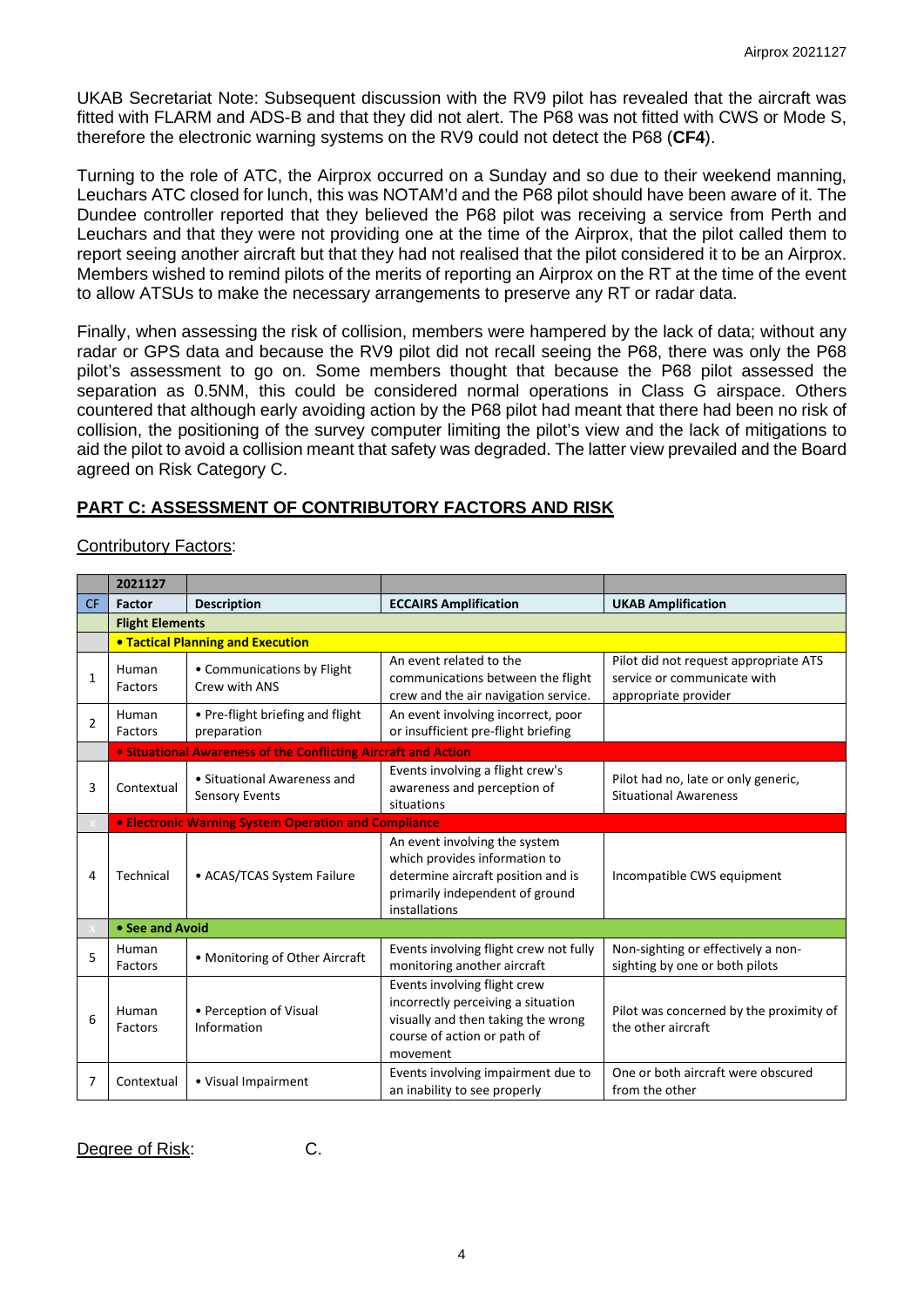UKAB Secretariat Note: Subsequent discussion with the RV9 pilot has revealed that the aircraft was fitted with FLARM and ADS-B and that they did not alert. The P68 was not fitted with CWS or Mode S, therefore the electronic warning systems on the RV9 could not detect the P68 (**CF4**).

Turning to the role of ATC, the Airprox occurred on a Sunday and so due to their weekend manning, Leuchars ATC closed for lunch, this was NOTAM'd and the P68 pilot should have been aware of it. The Dundee controller reported that they believed the P68 pilot was receiving a service from Perth and Leuchars and that they were not providing one at the time of the Airprox, that the pilot called them to report seeing another aircraft but that they had not realised that the pilot considered it to be an Airprox. Members wished to remind pilots of the merits of reporting an Airprox on the RT at the time of the event to allow ATSUs to make the necessary arrangements to preserve any RT or radar data.

Finally, when assessing the risk of collision, members were hampered by the lack of data; without any radar or GPS data and because the RV9 pilot did not recall seeing the P68, there was only the P68 pilot's assessment to go on. Some members thought that because the P68 pilot assessed the separation as 0.5NM, this could be considered normal operations in Class G airspace. Others countered that although early avoiding action by the P68 pilot had meant that there had been no risk of collision, the positioning of the survey computer limiting the pilot's view and the lack of mitigations to aid the pilot to avoid a collision meant that safety was degraded. The latter view prevailed and the Board agreed on Risk Category C.

## **PART C: ASSESSMENT OF CONTRIBUTORY FACTORS AND RISK**

#### Contributory Factors:

|                | 2021127                |                                                                       |                                                                                                                                                          |                                                                                              |  |  |  |
|----------------|------------------------|-----------------------------------------------------------------------|----------------------------------------------------------------------------------------------------------------------------------------------------------|----------------------------------------------------------------------------------------------|--|--|--|
| <b>CF</b>      | Factor                 | <b>Description</b>                                                    | <b>ECCAIRS Amplification</b>                                                                                                                             | <b>UKAB Amplification</b>                                                                    |  |  |  |
|                | <b>Flight Elements</b> |                                                                       |                                                                                                                                                          |                                                                                              |  |  |  |
|                |                        | <b>. Tactical Planning and Execution</b>                              |                                                                                                                                                          |                                                                                              |  |  |  |
| $\mathbf{1}$   | Human<br>Factors       | • Communications by Flight<br>Crew with ANS                           | An event related to the<br>communications between the flight<br>crew and the air navigation service.                                                     | Pilot did not request appropriate ATS<br>service or communicate with<br>appropriate provider |  |  |  |
| $\overline{2}$ | Human<br>Factors       | • Pre-flight briefing and flight<br>preparation                       | An event involving incorrect, poor<br>or insufficient pre-flight briefing                                                                                |                                                                                              |  |  |  |
|                |                        | <b>.</b> Situational Awareness of the Conflicting Aircraft and Action |                                                                                                                                                          |                                                                                              |  |  |  |
| 3              | Contextual             | • Situational Awareness and<br>Sensory Events                         | Events involving a flight crew's<br>awareness and perception of<br>situations                                                                            | Pilot had no, late or only generic,<br><b>Situational Awareness</b>                          |  |  |  |
|                |                        | <b>• Electronic Warning System Operation and Compliance</b>           |                                                                                                                                                          |                                                                                              |  |  |  |
| 4              | Technical              | • ACAS/TCAS System Failure                                            | An event involving the system<br>which provides information to<br>determine aircraft position and is<br>primarily independent of ground<br>installations | Incompatible CWS equipment                                                                   |  |  |  |
|                | • See and Avoid        |                                                                       |                                                                                                                                                          |                                                                                              |  |  |  |
| 5              | Human<br>Factors       | • Monitoring of Other Aircraft                                        | Events involving flight crew not fully<br>monitoring another aircraft                                                                                    | Non-sighting or effectively a non-<br>sighting by one or both pilots                         |  |  |  |
| 6              | Human<br>Factors       | • Perception of Visual<br>Information                                 | Events involving flight crew<br>incorrectly perceiving a situation<br>visually and then taking the wrong<br>course of action or path of<br>movement      | Pilot was concerned by the proximity of<br>the other aircraft                                |  |  |  |
| 7              | Contextual             | • Visual Impairment                                                   | Events involving impairment due to<br>an inability to see properly                                                                                       | One or both aircraft were obscured<br>from the other                                         |  |  |  |

Degree of Risk: C.